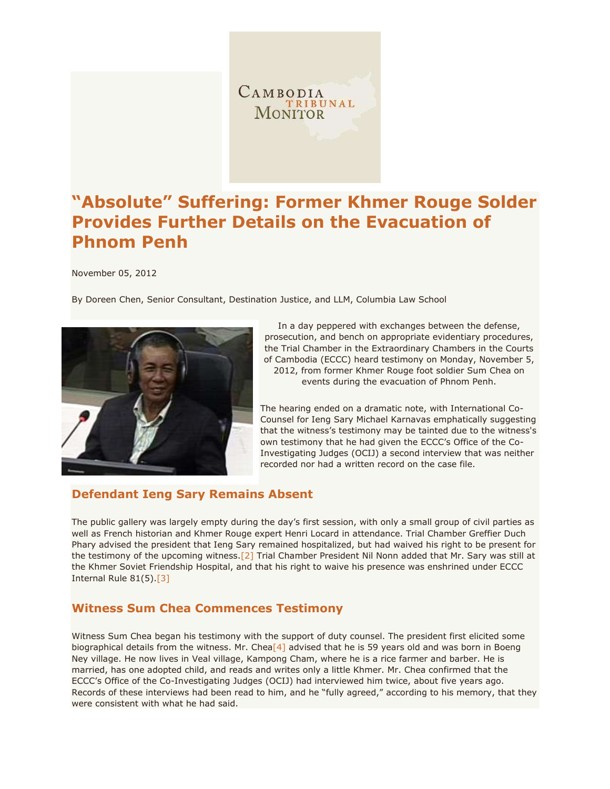

# **"Absolute" Suffering: Former Khmer Rouge Solder Provides Further Details on the Evacuation of Phnom Penh**

November 05, 2012

By Doreen Chen, Senior Consultant, Destination Justice, and LLM, Columbia Law School



In a day peppered with exchanges between the defense, prosecution, and bench on appropriate evidentiary procedures, the Trial Chamber in the Extraordinary Chambers in the Courts of Cambodia (ECCC) heard testimony on Monday, November 5, 2012, from former Khmer Rouge foot soldier Sum Chea on events during the evacuation of Phnom Penh.

The hearing ended on a dramatic note, with International Co-Counsel for Ieng Sary Michael Karnavas emphatically suggesting that the witness's testimony may be tainted due to the witness's own testimony that he had given the ECCC's Office of the Co-Investigating Judges (OCIJ) a second interview that was neither recorded nor had a written record on the case file.

#### **Defendant Ieng Sary Remains Absent**

The public gallery was largely empty during the day's first session, with only a small group of civil parties as well as French historian and Khmer Rouge expert Henri Locard in attendance. Trial Chamber Greffier Duch Phary advised the president that Ieng Sary remained hospitalized, but had waived his right to be present for the testimony of the upcoming witness[.\[2\]](http://www.cambodiatribunal.org/blog/2012/11/%E2%80%9Cabsolute%E2%80%9D-suffering-former-khmer-rouge-solder-provides-further-details-evacuation#_ftn2) Trial Chamber President Nil Nonn added that Mr. Sary was still at the Khmer Soviet Friendship Hospital, and that his right to waive his presence was enshrined under ECCC Internal Rule 81(5)[.\[3\]](http://www.cambodiatribunal.org/blog/2012/11/%E2%80%9Cabsolute%E2%80%9D-suffering-former-khmer-rouge-solder-provides-further-details-evacuation#_ftn3)

### **Witness Sum Chea Commences Testimony**

Witness Sum Chea began his testimony with the support of duty counsel. The president first elicited some biographical details from the witness. Mr. Chea<sup>[4]</sup> advised that he is 59 years old and was born in Boeng Ney village. He now lives in Veal village, Kampong Cham, where he is a rice farmer and barber. He is married, has one adopted child, and reads and writes only a little Khmer. Mr. Chea confirmed that the ECCC's Office of the Co-Investigating Judges (OCIJ) had interviewed him twice, about five years ago. Records of these interviews had been read to him, and he "fully agreed," according to his memory, that they were consistent with what he had said.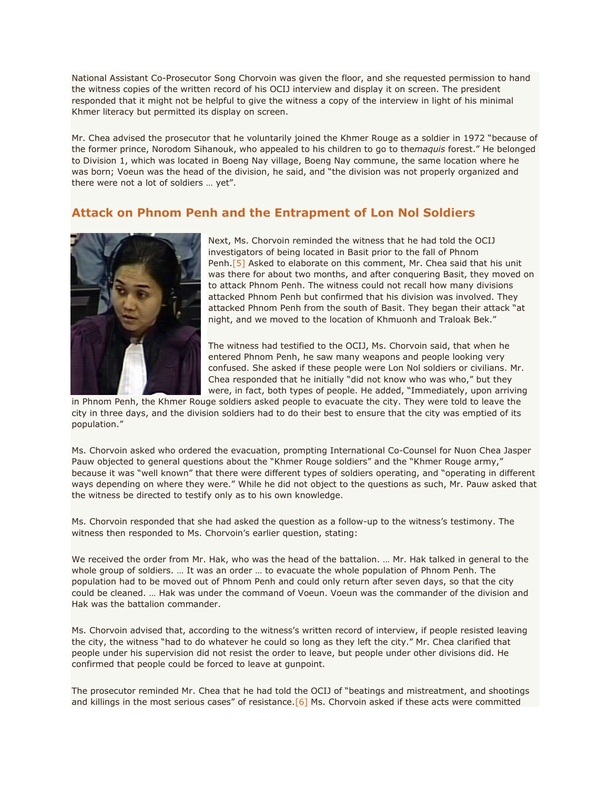National Assistant Co-Prosecutor Song Chorvoin was given the floor, and she requested permission to hand the witness copies of the written record of his OCIJ interview and display it on screen. The president responded that it might not be helpful to give the witness a copy of the interview in light of his minimal Khmer literacy but permitted its display on screen.

Mr. Chea advised the prosecutor that he voluntarily joined the Khmer Rouge as a soldier in 1972 "because of the former prince, Norodom Sihanouk, who appealed to his children to go to the*maquis* forest." He belonged to Division 1, which was located in Boeng Nay village, Boeng Nay commune, the same location where he was born; Voeun was the head of the division, he said, and "the division was not properly organized and there were not a lot of soldiers … yet".

#### **Attack on Phnom Penh and the Entrapment of Lon Nol Soldiers**



Next, Ms. Chorvoin reminded the witness that he had told the OCIJ investigators of being located in Basit prior to the fall of Phnom Penh.<sup>[5]</sup> Asked to elaborate on this comment, Mr. Chea said that his unit was there for about two months, and after conquering Basit, they moved on to attack Phnom Penh. The witness could not recall how many divisions attacked Phnom Penh but confirmed that his division was involved. They attacked Phnom Penh from the south of Basit. They began their attack "at night, and we moved to the location of Khmuonh and Traloak Bek."

The witness had testified to the OCIJ, Ms. Chorvoin said, that when he entered Phnom Penh, he saw many weapons and people looking very confused. She asked if these people were Lon Nol soldiers or civilians. Mr. Chea responded that he initially "did not know who was who," but they were, in fact, both types of people. He added, "Immediately, upon arriving

in Phnom Penh, the Khmer Rouge soldiers asked people to evacuate the city. They were told to leave the city in three days, and the division soldiers had to do their best to ensure that the city was emptied of its population."

Ms. Chorvoin asked who ordered the evacuation, prompting International Co-Counsel for Nuon Chea Jasper Pauw objected to general questions about the "Khmer Rouge soldiers" and the "Khmer Rouge army," because it was "well known" that there were different types of soldiers operating, and "operating in different ways depending on where they were." While he did not object to the questions as such, Mr. Pauw asked that the witness be directed to testify only as to his own knowledge.

Ms. Chorvoin responded that she had asked the question as a follow-up to the witness's testimony. The witness then responded to Ms. Chorvoin's earlier question, stating:

We received the order from Mr. Hak, who was the head of the battalion. … Mr. Hak talked in general to the whole group of soldiers. … It was an order … to evacuate the whole population of Phnom Penh. The population had to be moved out of Phnom Penh and could only return after seven days, so that the city could be cleaned. … Hak was under the command of Voeun. Voeun was the commander of the division and Hak was the battalion commander.

Ms. Chorvoin advised that, according to the witness's written record of interview, if people resisted leaving the city, the witness "had to do whatever he could so long as they left the city." Mr. Chea clarified that people under his supervision did not resist the order to leave, but people under other divisions did. He confirmed that people could be forced to leave at gunpoint.

The prosecutor reminded Mr. Chea that he had told the OCIJ of "beatings and mistreatment, and shootings and killings in the most serious cases" of resistance.[\[6\]](http://www.cambodiatribunal.org/blog/2012/11/%E2%80%9Cabsolute%E2%80%9D-suffering-former-khmer-rouge-solder-provides-further-details-evacuation#_ftn6) Ms. Chorvoin asked if these acts were committed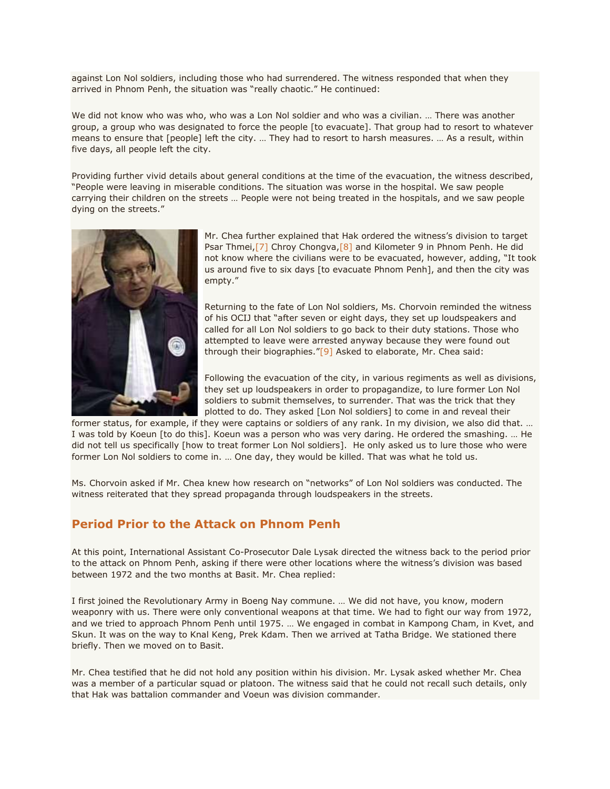against Lon Nol soldiers, including those who had surrendered. The witness responded that when they arrived in Phnom Penh, the situation was "really chaotic." He continued:

We did not know who was who, who was a Lon Nol soldier and who was a civilian. … There was another group, a group who was designated to force the people [to evacuate]. That group had to resort to whatever means to ensure that [people] left the city. … They had to resort to harsh measures. … As a result, within five days, all people left the city.

Providing further vivid details about general conditions at the time of the evacuation, the witness described, "People were leaving in miserable conditions. The situation was worse in the hospital. We saw people carrying their children on the streets … People were not being treated in the hospitals, and we saw people dying on the streets."



Mr. Chea further explained that Hak ordered the witness's division to target Psar Thmei,  $[7]$  Chroy Chongva,  $[8]$  and Kilometer 9 in Phnom Penh. He did not know where the civilians were to be evacuated, however, adding, "It took us around five to six days [to evacuate Phnom Penh], and then the city was empty."

Returning to the fate of Lon Nol soldiers, Ms. Chorvoin reminded the witness of his OCIJ that "after seven or eight days, they set up loudspeakers and called for all Lon Nol soldiers to go back to their duty stations. Those who attempted to leave were arrested anyway because they were found out through their biographies."[\[9\]](http://www.cambodiatribunal.org/blog/2012/11/%E2%80%9Cabsolute%E2%80%9D-suffering-former-khmer-rouge-solder-provides-further-details-evacuation#_ftn9) Asked to elaborate, Mr. Chea said:

Following the evacuation of the city, in various regiments as well as divisions, they set up loudspeakers in order to propagandize, to lure former Lon Nol soldiers to submit themselves, to surrender. That was the trick that they plotted to do. They asked [Lon Nol soldiers] to come in and reveal their

former status, for example, if they were captains or soldiers of any rank. In my division, we also did that. … I was told by Koeun [to do this]. Koeun was a person who was very daring. He ordered the smashing. … He did not tell us specifically [how to treat former Lon Nol soldiers]. He only asked us to lure those who were former Lon Nol soldiers to come in. … One day, they would be killed. That was what he told us.

Ms. Chorvoin asked if Mr. Chea knew how research on "networks" of Lon Nol soldiers was conducted. The witness reiterated that they spread propaganda through loudspeakers in the streets.

### **Period Prior to the Attack on Phnom Penh**

At this point, International Assistant Co-Prosecutor Dale Lysak directed the witness back to the period prior to the attack on Phnom Penh, asking if there were other locations where the witness's division was based between 1972 and the two months at Basit. Mr. Chea replied:

I first joined the Revolutionary Army in Boeng Nay commune. … We did not have, you know, modern weaponry with us. There were only conventional weapons at that time. We had to fight our way from 1972, and we tried to approach Phnom Penh until 1975. … We engaged in combat in Kampong Cham, in Kvet, and Skun. It was on the way to Knal Keng, Prek Kdam. Then we arrived at Tatha Bridge. We stationed there briefly. Then we moved on to Basit.

Mr. Chea testified that he did not hold any position within his division. Mr. Lysak asked whether Mr. Chea was a member of a particular squad or platoon. The witness said that he could not recall such details, only that Hak was battalion commander and Voeun was division commander.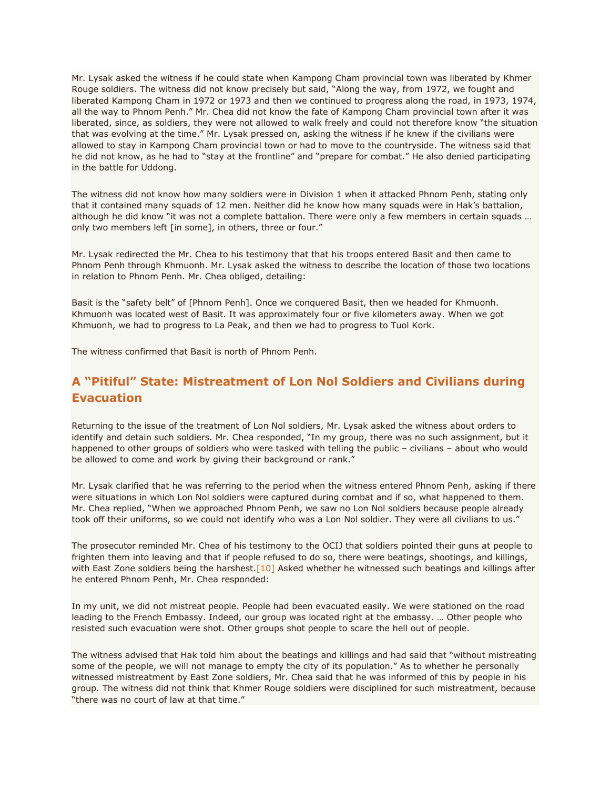Mr. Lysak asked the witness if he could state when Kampong Cham provincial town was liberated by Khmer Rouge soldiers. The witness did not know precisely but said, "Along the way, from 1972, we fought and liberated Kampong Cham in 1972 or 1973 and then we continued to progress along the road, in 1973, 1974, all the way to Phnom Penh." Mr. Chea did not know the fate of Kampong Cham provincial town after it was liberated, since, as soldiers, they were not allowed to walk freely and could not therefore know "the situation that was evolving at the time." Mr. Lysak pressed on, asking the witness if he knew if the civilians were allowed to stay in Kampong Cham provincial town or had to move to the countryside. The witness said that he did not know, as he had to "stay at the frontline" and "prepare for combat." He also denied participating in the battle for Uddong.

The witness did not know how many soldiers were in Division 1 when it attacked Phnom Penh, stating only that it contained many squads of 12 men. Neither did he know how many squads were in Hak's battalion, although he did know "it was not a complete battalion. There were only a few members in certain squads ... only two members left [in some], in others, three or four."

Mr. Lysak redirected the Mr. Chea to his testimony that that his troops entered Basit and then came to Phnom Penh through Khmuonh. Mr. Lysak asked the witness to describe the location of those two locations in relation to Phnom Penh. Mr. Chea obliged, detailing:

Basit is the "safety belt" of [Phnom Penh]. Once we conquered Basit, then we headed for Khmuonh. Khmuonh was located west of Basit. It was approximately four or five kilometers away. When we got Khmuonh, we had to progress to La Peak, and then we had to progress to Tuol Kork.

The witness confirmed that Basit is north of Phnom Penh.

# **A "Pitiful" State: Mistreatment of Lon Nol Soldiers and Civilians during Evacuation**

Returning to the issue of the treatment of Lon Nol soldiers, Mr. Lysak asked the witness about orders to identify and detain such soldiers. Mr. Chea responded, "In my group, there was no such assignment, but it happened to other groups of soldiers who were tasked with telling the public – civilians – about who would be allowed to come and work by giving their background or rank."

Mr. Lysak clarified that he was referring to the period when the witness entered Phnom Penh, asking if there were situations in which Lon Nol soldiers were captured during combat and if so, what happened to them. Mr. Chea replied, "When we approached Phnom Penh, we saw no Lon Nol soldiers because people already took off their uniforms, so we could not identify who was a Lon Nol soldier. They were all civilians to us."

The prosecutor reminded Mr. Chea of his testimony to the OCIJ that soldiers pointed their guns at people to frighten them into leaving and that if people refused to do so, there were beatings, shootings, and killings, with East Zone soldiers being the harshest.<sup>[10]</sup> Asked whether he witnessed such beatings and killings after he entered Phnom Penh, Mr. Chea responded:

In my unit, we did not mistreat people. People had been evacuated easily. We were stationed on the road leading to the French Embassy. Indeed, our group was located right at the embassy. … Other people who resisted such evacuation were shot. Other groups shot people to scare the hell out of people.

The witness advised that Hak told him about the beatings and killings and had said that "without mistreating some of the people, we will not manage to empty the city of its population." As to whether he personally witnessed mistreatment by East Zone soldiers, Mr. Chea said that he was informed of this by people in his group. The witness did not think that Khmer Rouge soldiers were disciplined for such mistreatment, because "there was no court of law at that time."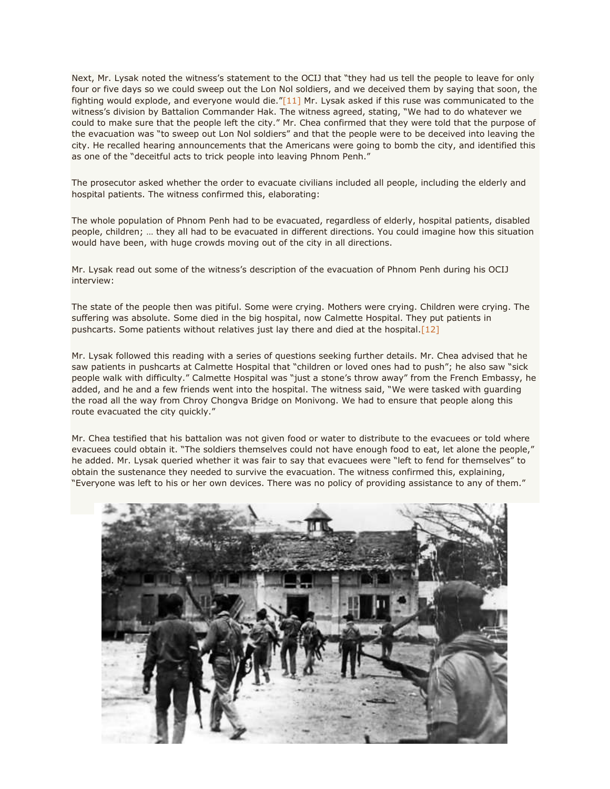Next, Mr. Lysak noted the witness's statement to the OCIJ that "they had us tell the people to leave for only four or five days so we could sweep out the Lon Nol soldiers, and we deceived them by saying that soon, the fighting would explode, and everyone would die."[\[11\]](http://www.cambodiatribunal.org/blog/2012/11/%E2%80%9Cabsolute%E2%80%9D-suffering-former-khmer-rouge-solder-provides-further-details-evacuation#_ftn11) Mr. Lysak asked if this ruse was communicated to the witness's division by Battalion Commander Hak. The witness agreed, stating, "We had to do whatever we could to make sure that the people left the city." Mr. Chea confirmed that they were told that the purpose of the evacuation was "to sweep out Lon Nol soldiers" and that the people were to be deceived into leaving the city. He recalled hearing announcements that the Americans were going to bomb the city, and identified this as one of the "deceitful acts to trick people into leaving Phnom Penh."

The prosecutor asked whether the order to evacuate civilians included all people, including the elderly and hospital patients. The witness confirmed this, elaborating:

The whole population of Phnom Penh had to be evacuated, regardless of elderly, hospital patients, disabled people, children; … they all had to be evacuated in different directions. You could imagine how this situation would have been, with huge crowds moving out of the city in all directions.

Mr. Lysak read out some of the witness's description of the evacuation of Phnom Penh during his OCIJ interview:

The state of the people then was pitiful. Some were crying. Mothers were crying. Children were crying. The suffering was absolute. Some died in the big hospital, now Calmette Hospital. They put patients in pushcarts. Some patients without relatives just lay there and died at the hospital[.\[12\]](http://www.cambodiatribunal.org/blog/2012/11/%E2%80%9Cabsolute%E2%80%9D-suffering-former-khmer-rouge-solder-provides-further-details-evacuation#_ftn12)

Mr. Lysak followed this reading with a series of questions seeking further details. Mr. Chea advised that he saw patients in pushcarts at Calmette Hospital that "children or loved ones had to push"; he also saw "sick people walk with difficulty." Calmette Hospital was "just a stone's throw away" from the French Embassy, he added, and he and a few friends went into the hospital. The witness said, "We were tasked with guarding the road all the way from Chroy Chongva Bridge on Monivong. We had to ensure that people along this route evacuated the city quickly."

Mr. Chea testified that his battalion was not given food or water to distribute to the evacuees or told where evacuees could obtain it. "The soldiers themselves could not have enough food to eat, let alone the people," he added. Mr. Lysak queried whether it was fair to say that evacuees were "left to fend for themselves" to obtain the sustenance they needed to survive the evacuation. The witness confirmed this, explaining, "Everyone was left to his or her own devices. There was no policy of providing assistance to any of them."

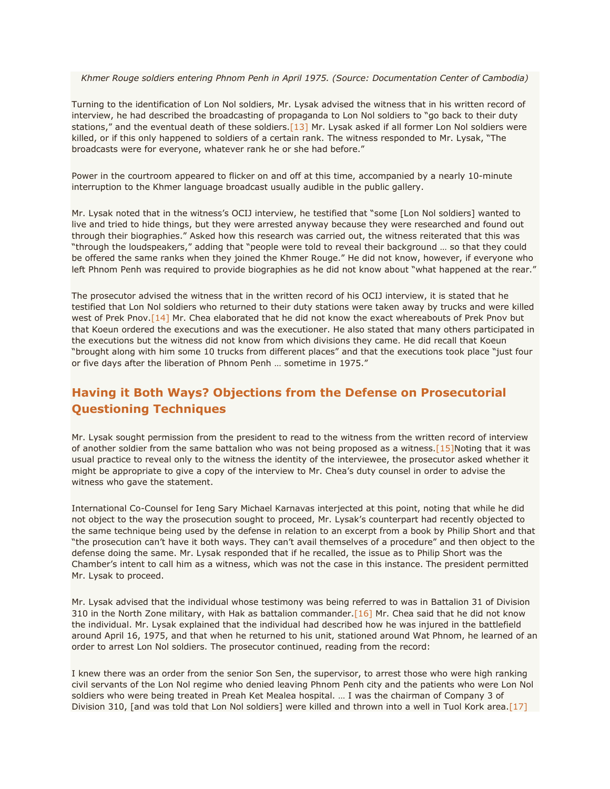*Khmer Rouge soldiers entering Phnom Penh in April 1975. (Source: Documentation Center of Cambodia)*

Turning to the identification of Lon Nol soldiers, Mr. Lysak advised the witness that in his written record of interview, he had described the broadcasting of propaganda to Lon Nol soldiers to "go back to their duty stations," and the eventual death of these soldiers. $[13]$  Mr. Lysak asked if all former Lon Nol soldiers were killed, or if this only happened to soldiers of a certain rank. The witness responded to Mr. Lysak, "The broadcasts were for everyone, whatever rank he or she had before."

Power in the courtroom appeared to flicker on and off at this time, accompanied by a nearly 10-minute interruption to the Khmer language broadcast usually audible in the public gallery.

Mr. Lysak noted that in the witness's OCIJ interview, he testified that "some [Lon Nol soldiers] wanted to live and tried to hide things, but they were arrested anyway because they were researched and found out through their biographies." Asked how this research was carried out, the witness reiterated that this was "through the loudspeakers," adding that "people were told to reveal their background … so that they could be offered the same ranks when they joined the Khmer Rouge." He did not know, however, if everyone who left Phnom Penh was required to provide biographies as he did not know about "what happened at the rear."

The prosecutor advised the witness that in the written record of his OCIJ interview, it is stated that he testified that Lon Nol soldiers who returned to their duty stations were taken away by trucks and were killed west of Prek Pnov[.\[14\]](http://www.cambodiatribunal.org/blog/2012/11/%E2%80%9Cabsolute%E2%80%9D-suffering-former-khmer-rouge-solder-provides-further-details-evacuation#_ftn14) Mr. Chea elaborated that he did not know the exact whereabouts of Prek Pnov but that Koeun ordered the executions and was the executioner. He also stated that many others participated in the executions but the witness did not know from which divisions they came. He did recall that Koeun "brought along with him some 10 trucks from different places" and that the executions took place "just four or five days after the liberation of Phnom Penh … sometime in 1975."

# **Having it Both Ways? Objections from the Defense on Prosecutorial Questioning Techniques**

Mr. Lysak sought permission from the president to read to the witness from the written record of interview of another soldier from the same battalion who was not being proposed as a witness[.\[15\]N](http://www.cambodiatribunal.org/blog/2012/11/%E2%80%9Cabsolute%E2%80%9D-suffering-former-khmer-rouge-solder-provides-further-details-evacuation#_ftn15)oting that it was usual practice to reveal only to the witness the identity of the interviewee, the prosecutor asked whether it might be appropriate to give a copy of the interview to Mr. Chea's duty counsel in order to advise the witness who gave the statement.

International Co-Counsel for Ieng Sary Michael Karnavas interjected at this point, noting that while he did not object to the way the prosecution sought to proceed, Mr. Lysak's counterpart had recently objected to the same technique being used by the defense in relation to an excerpt from a book by Philip Short and that "the prosecution can't have it both ways. They can't avail themselves of a procedure" and then object to the defense doing the same. Mr. Lysak responded that if he recalled, the issue as to Philip Short was the Chamber's intent to call him as a witness, which was not the case in this instance. The president permitted Mr. Lysak to proceed.

Mr. Lysak advised that the individual whose testimony was being referred to was in Battalion 31 of Division 310 in the North Zone military, with Hak as battalion commander[.\[16\]](http://www.cambodiatribunal.org/blog/2012/11/%E2%80%9Cabsolute%E2%80%9D-suffering-former-khmer-rouge-solder-provides-further-details-evacuation#_ftn16) Mr. Chea said that he did not know the individual. Mr. Lysak explained that the individual had described how he was injured in the battlefield around April 16, 1975, and that when he returned to his unit, stationed around Wat Phnom, he learned of an order to arrest Lon Nol soldiers. The prosecutor continued, reading from the record:

I knew there was an order from the senior Son Sen, the supervisor, to arrest those who were high ranking civil servants of the Lon Nol regime who denied leaving Phnom Penh city and the patients who were Lon Nol soldiers who were being treated in Preah Ket Mealea hospital. … I was the chairman of Company 3 of Division 310, [and was told that Lon Nol soldiers] were killed and thrown into a well in Tuol Kork area[.\[17\]](http://www.cambodiatribunal.org/blog/2012/11/%E2%80%9Cabsolute%E2%80%9D-suffering-former-khmer-rouge-solder-provides-further-details-evacuation#_ftn17)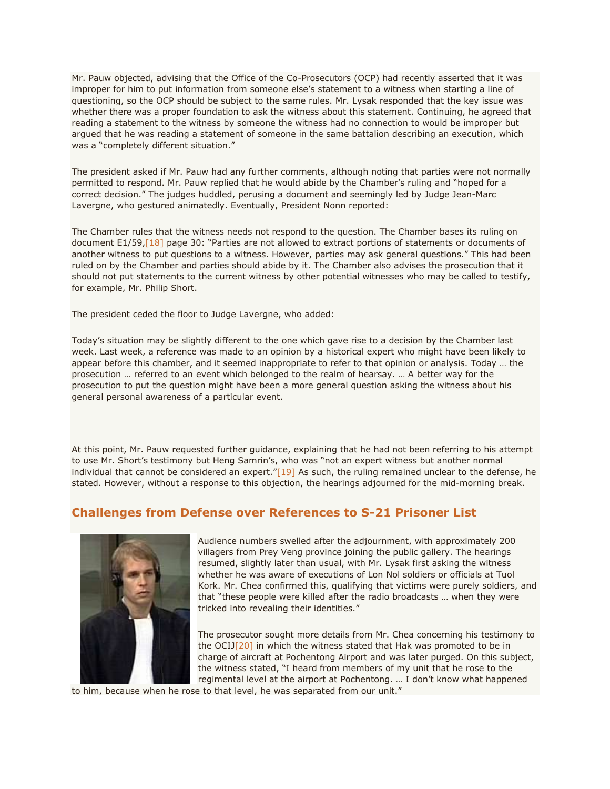Mr. Pauw objected, advising that the Office of the Co-Prosecutors (OCP) had recently asserted that it was improper for him to put information from someone else's statement to a witness when starting a line of questioning, so the OCP should be subject to the same rules. Mr. Lysak responded that the key issue was whether there was a proper foundation to ask the witness about this statement. Continuing, he agreed that reading a statement to the witness by someone the witness had no connection to would be improper but argued that he was reading a statement of someone in the same battalion describing an execution, which was a "completely different situation."

The president asked if Mr. Pauw had any further comments, although noting that parties were not normally permitted to respond. Mr. Pauw replied that he would abide by the Chamber's ruling and "hoped for a correct decision." The judges huddled, perusing a document and seemingly led by Judge Jean-Marc Lavergne, who gestured animatedly. Eventually, President Nonn reported:

The Chamber rules that the witness needs not respond to the question. The Chamber bases its ruling on document E1/59[,\[18\]](http://www.cambodiatribunal.org/blog/2012/11/%E2%80%9Cabsolute%E2%80%9D-suffering-former-khmer-rouge-solder-provides-further-details-evacuation#_ftn18) page 30: "Parties are not allowed to extract portions of statements or documents of another witness to put questions to a witness. However, parties may ask general questions." This had been ruled on by the Chamber and parties should abide by it. The Chamber also advises the prosecution that it should not put statements to the current witness by other potential witnesses who may be called to testify, for example, Mr. Philip Short.

The president ceded the floor to Judge Lavergne, who added:

Today's situation may be slightly different to the one which gave rise to a decision by the Chamber last week. Last week, a reference was made to an opinion by a historical expert who might have been likely to appear before this chamber, and it seemed inappropriate to refer to that opinion or analysis. Today … the prosecution … referred to an event which belonged to the realm of hearsay. … A better way for the prosecution to put the question might have been a more general question asking the witness about his general personal awareness of a particular event.

At this point, Mr. Pauw requested further guidance, explaining that he had not been referring to his attempt to use Mr. Short's testimony but Heng Samrin's, who was "not an expert witness but another normal individual that cannot be considered an expert." $[19]$  As such, the ruling remained unclear to the defense, he stated. However, without a response to this objection, the hearings adjourned for the mid-morning break.

#### **Challenges from Defense over References to S-21 Prisoner List**



Audience numbers swelled after the adjournment, with approximately 200 villagers from Prey Veng province joining the public gallery. The hearings resumed, slightly later than usual, with Mr. Lysak first asking the witness whether he was aware of executions of Lon Nol soldiers or officials at Tuol Kork. Mr. Chea confirmed this, qualifying that victims were purely soldiers, and that "these people were killed after the radio broadcasts … when they were tricked into revealing their identities."

The prosecutor sought more details from Mr. Chea concerning his testimony to the OCI[J\[20\]](http://www.cambodiatribunal.org/blog/2012/11/%E2%80%9Cabsolute%E2%80%9D-suffering-former-khmer-rouge-solder-provides-further-details-evacuation#_ftn20) in which the witness stated that Hak was promoted to be in charge of aircraft at Pochentong Airport and was later purged. On this subject, the witness stated, "I heard from members of my unit that he rose to the regimental level at the airport at Pochentong. … I don't know what happened

to him, because when he rose to that level, he was separated from our unit."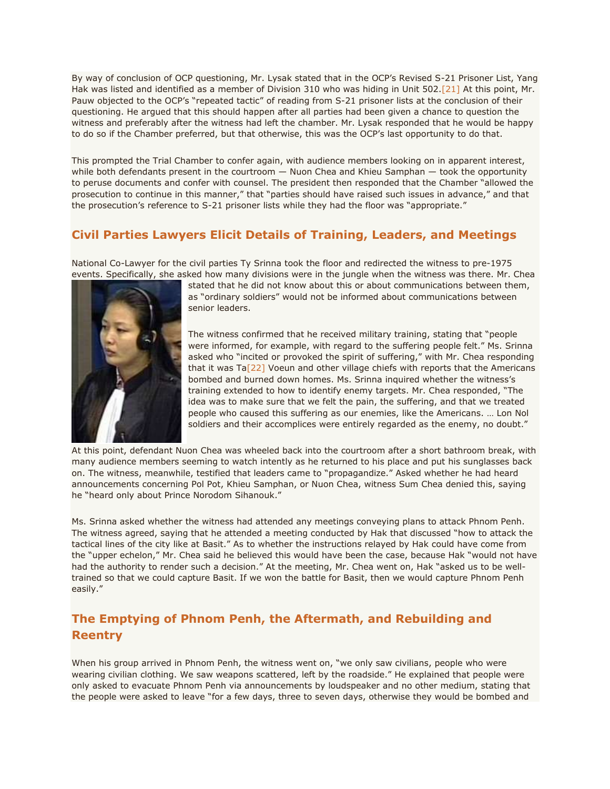By way of conclusion of OCP questioning, Mr. Lysak stated that in the OCP's Revised S-21 Prisoner List, Yang Hak was listed and identified as a member of Division 310 who was hiding in Unit 502[.\[21\]](http://www.cambodiatribunal.org/blog/2012/11/%E2%80%9Cabsolute%E2%80%9D-suffering-former-khmer-rouge-solder-provides-further-details-evacuation#_ftn21) At this point, Mr. Pauw objected to the OCP's "repeated tactic" of reading from S-21 prisoner lists at the conclusion of their questioning. He argued that this should happen after all parties had been given a chance to question the witness and preferably after the witness had left the chamber. Mr. Lysak responded that he would be happy to do so if the Chamber preferred, but that otherwise, this was the OCP's last opportunity to do that.

This prompted the Trial Chamber to confer again, with audience members looking on in apparent interest, while both defendants present in the courtroom — Nuon Chea and Khieu Samphan — took the opportunity to peruse documents and confer with counsel. The president then responded that the Chamber "allowed the prosecution to continue in this manner," that "parties should have raised such issues in advance," and that the prosecution's reference to S-21 prisoner lists while they had the floor was "appropriate."

### **Civil Parties Lawyers Elicit Details of Training, Leaders, and Meetings**

National Co-Lawyer for the civil parties Ty Srinna took the floor and redirected the witness to pre-1975 events. Specifically, she asked how many divisions were in the jungle when the witness was there. Mr. Chea



stated that he did not know about this or about communications between them, as "ordinary soldiers" would not be informed about communications between senior leaders.

The witness confirmed that he received military training, stating that "people were informed, for example, with regard to the suffering people felt." Ms. Srinna asked who "incited or provoked the spirit of suffering," with Mr. Chea responding that it was  $Ta[22]$  $Ta[22]$  Voeun and other village chiefs with reports that the Americans bombed and burned down homes. Ms. Srinna inquired whether the witness's training extended to how to identify enemy targets. Mr. Chea responded, "The idea was to make sure that we felt the pain, the suffering, and that we treated people who caused this suffering as our enemies, like the Americans. … Lon Nol soldiers and their accomplices were entirely regarded as the enemy, no doubt."

At this point, defendant Nuon Chea was wheeled back into the courtroom after a short bathroom break, with many audience members seeming to watch intently as he returned to his place and put his sunglasses back on. The witness, meanwhile, testified that leaders came to "propagandize." Asked whether he had heard announcements concerning Pol Pot, Khieu Samphan, or Nuon Chea, witness Sum Chea denied this, saying he "heard only about Prince Norodom Sihanouk."

Ms. Srinna asked whether the witness had attended any meetings conveying plans to attack Phnom Penh. The witness agreed, saying that he attended a meeting conducted by Hak that discussed "how to attack the tactical lines of the city like at Basit." As to whether the instructions relayed by Hak could have come from the "upper echelon," Mr. Chea said he believed this would have been the case, because Hak "would not have had the authority to render such a decision." At the meeting, Mr. Chea went on, Hak "asked us to be welltrained so that we could capture Basit. If we won the battle for Basit, then we would capture Phnom Penh easily."

# **The Emptying of Phnom Penh, the Aftermath, and Rebuilding and Reentry**

When his group arrived in Phnom Penh, the witness went on, "we only saw civilians, people who were wearing civilian clothing. We saw weapons scattered, left by the roadside." He explained that people were only asked to evacuate Phnom Penh via announcements by loudspeaker and no other medium, stating that the people were asked to leave "for a few days, three to seven days, otherwise they would be bombed and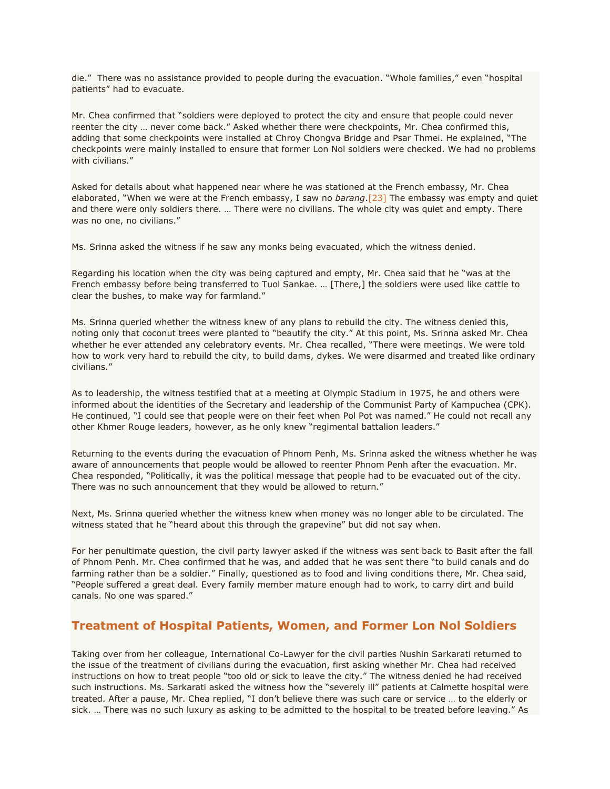die." There was no assistance provided to people during the evacuation. "Whole families," even "hospital patients" had to evacuate.

Mr. Chea confirmed that "soldiers were deployed to protect the city and ensure that people could never reenter the city … never come back." Asked whether there were checkpoints, Mr. Chea confirmed this, adding that some checkpoints were installed at Chroy Chongva Bridge and Psar Thmei. He explained, "The checkpoints were mainly installed to ensure that former Lon Nol soldiers were checked. We had no problems with civilians."

Asked for details about what happened near where he was stationed at the French embassy, Mr. Chea elaborated, "When we were at the French embassy, I saw no *barang*[.\[23\]](http://www.cambodiatribunal.org/blog/2012/11/%E2%80%9Cabsolute%E2%80%9D-suffering-former-khmer-rouge-solder-provides-further-details-evacuation#_ftn23) The embassy was empty and quiet and there were only soldiers there. … There were no civilians. The whole city was quiet and empty. There was no one, no civilians."

Ms. Srinna asked the witness if he saw any monks being evacuated, which the witness denied.

Regarding his location when the city was being captured and empty, Mr. Chea said that he "was at the French embassy before being transferred to Tuol Sankae. … [There,] the soldiers were used like cattle to clear the bushes, to make way for farmland."

Ms. Srinna queried whether the witness knew of any plans to rebuild the city. The witness denied this, noting only that coconut trees were planted to "beautify the city." At this point, Ms. Srinna asked Mr. Chea whether he ever attended any celebratory events. Mr. Chea recalled, "There were meetings. We were told how to work very hard to rebuild the city, to build dams, dykes. We were disarmed and treated like ordinary civilians."

As to leadership, the witness testified that at a meeting at Olympic Stadium in 1975, he and others were informed about the identities of the Secretary and leadership of the Communist Party of Kampuchea (CPK). He continued, "I could see that people were on their feet when Pol Pot was named." He could not recall any other Khmer Rouge leaders, however, as he only knew "regimental battalion leaders."

Returning to the events during the evacuation of Phnom Penh, Ms. Srinna asked the witness whether he was aware of announcements that people would be allowed to reenter Phnom Penh after the evacuation. Mr. Chea responded, "Politically, it was the political message that people had to be evacuated out of the city. There was no such announcement that they would be allowed to return."

Next, Ms. Srinna queried whether the witness knew when money was no longer able to be circulated. The witness stated that he "heard about this through the grapevine" but did not say when.

For her penultimate question, the civil party lawyer asked if the witness was sent back to Basit after the fall of Phnom Penh. Mr. Chea confirmed that he was, and added that he was sent there "to build canals and do farming rather than be a soldier." Finally, questioned as to food and living conditions there, Mr. Chea said, "People suffered a great deal. Every family member mature enough had to work, to carry dirt and build canals. No one was spared."

#### **Treatment of Hospital Patients, Women, and Former Lon Nol Soldiers**

Taking over from her colleague, International Co-Lawyer for the civil parties Nushin Sarkarati returned to the issue of the treatment of civilians during the evacuation, first asking whether Mr. Chea had received instructions on how to treat people "too old or sick to leave the city." The witness denied he had received such instructions. Ms. Sarkarati asked the witness how the "severely ill" patients at Calmette hospital were treated. After a pause, Mr. Chea replied, "I don't believe there was such care or service … to the elderly or sick. … There was no such luxury as asking to be admitted to the hospital to be treated before leaving." As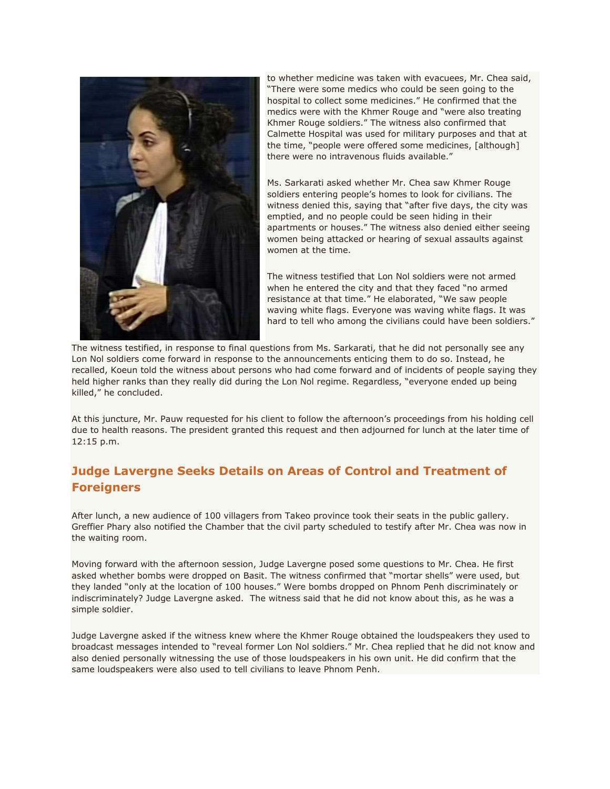

to whether medicine was taken with evacuees, Mr. Chea said, "There were some medics who could be seen going to the hospital to collect some medicines." He confirmed that the medics were with the Khmer Rouge and "were also treating Khmer Rouge soldiers." The witness also confirmed that Calmette Hospital was used for military purposes and that at the time, "people were offered some medicines, [although] there were no intravenous fluids available."

Ms. Sarkarati asked whether Mr. Chea saw Khmer Rouge soldiers entering people's homes to look for civilians. The witness denied this, saying that "after five days, the city was emptied, and no people could be seen hiding in their apartments or houses." The witness also denied either seeing women being attacked or hearing of sexual assaults against women at the time.

The witness testified that Lon Nol soldiers were not armed when he entered the city and that they faced "no armed resistance at that time." He elaborated, "We saw people waving white flags. Everyone was waving white flags. It was hard to tell who among the civilians could have been soldiers."

The witness testified, in response to final questions from Ms. Sarkarati, that he did not personally see any Lon Nol soldiers come forward in response to the announcements enticing them to do so. Instead, he recalled, Koeun told the witness about persons who had come forward and of incidents of people saying they held higher ranks than they really did during the Lon Nol regime. Regardless, "everyone ended up being killed," he concluded.

At this juncture, Mr. Pauw requested for his client to follow the afternoon's proceedings from his holding cell due to health reasons. The president granted this request and then adjourned for lunch at the later time of 12:15 p.m.

### **Judge Lavergne Seeks Details on Areas of Control and Treatment of Foreigners**

After lunch, a new audience of 100 villagers from Takeo province took their seats in the public gallery. Greffier Phary also notified the Chamber that the civil party scheduled to testify after Mr. Chea was now in the waiting room.

Moving forward with the afternoon session, Judge Lavergne posed some questions to Mr. Chea. He first asked whether bombs were dropped on Basit. The witness confirmed that "mortar shells" were used, but they landed "only at the location of 100 houses." Were bombs dropped on Phnom Penh discriminately or indiscriminately? Judge Lavergne asked. The witness said that he did not know about this, as he was a simple soldier.

Judge Lavergne asked if the witness knew where the Khmer Rouge obtained the loudspeakers they used to broadcast messages intended to "reveal former Lon Nol soldiers." Mr. Chea replied that he did not know and also denied personally witnessing the use of those loudspeakers in his own unit. He did confirm that the same loudspeakers were also used to tell civilians to leave Phnom Penh.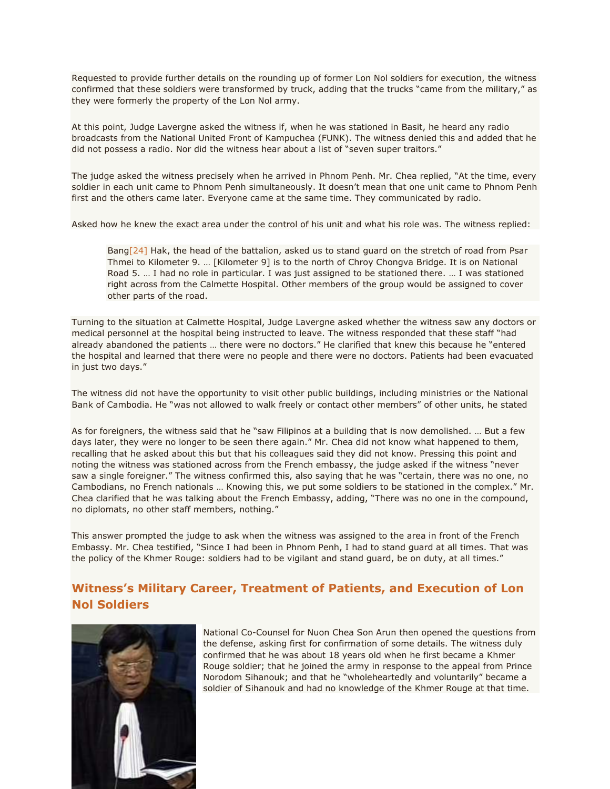Requested to provide further details on the rounding up of former Lon Nol soldiers for execution, the witness confirmed that these soldiers were transformed by truck, adding that the trucks "came from the military," as they were formerly the property of the Lon Nol army.

At this point, Judge Lavergne asked the witness if, when he was stationed in Basit, he heard any radio broadcasts from the National United Front of Kampuchea (FUNK). The witness denied this and added that he did not possess a radio. Nor did the witness hear about a list of "seven super traitors."

The judge asked the witness precisely when he arrived in Phnom Penh. Mr. Chea replied, "At the time, every soldier in each unit came to Phnom Penh simultaneously. It doesn't mean that one unit came to Phnom Penh first and the others came later. Everyone came at the same time. They communicated by radio.

Asked how he knew the exact area under the control of his unit and what his role was. The witness replied:

Ban[g\[24\]](http://www.cambodiatribunal.org/blog/2012/11/%E2%80%9Cabsolute%E2%80%9D-suffering-former-khmer-rouge-solder-provides-further-details-evacuation#_ftn24) Hak, the head of the battalion, asked us to stand guard on the stretch of road from Psar Thmei to Kilometer 9. … [Kilometer 9] is to the north of Chroy Chongva Bridge. It is on National Road 5. … I had no role in particular. I was just assigned to be stationed there. … I was stationed right across from the Calmette Hospital. Other members of the group would be assigned to cover other parts of the road.

Turning to the situation at Calmette Hospital, Judge Lavergne asked whether the witness saw any doctors or medical personnel at the hospital being instructed to leave. The witness responded that these staff "had already abandoned the patients … there were no doctors." He clarified that knew this because he "entered the hospital and learned that there were no people and there were no doctors. Patients had been evacuated in just two days."

The witness did not have the opportunity to visit other public buildings, including ministries or the National Bank of Cambodia. He "was not allowed to walk freely or contact other members" of other units, he stated

As for foreigners, the witness said that he "saw Filipinos at a building that is now demolished. … But a few days later, they were no longer to be seen there again." Mr. Chea did not know what happened to them, recalling that he asked about this but that his colleagues said they did not know. Pressing this point and noting the witness was stationed across from the French embassy, the judge asked if the witness "never saw a single foreigner." The witness confirmed this, also saying that he was "certain, there was no one, no Cambodians, no French nationals … Knowing this, we put some soldiers to be stationed in the complex." Mr. Chea clarified that he was talking about the French Embassy, adding, "There was no one in the compound, no diplomats, no other staff members, nothing."

This answer prompted the judge to ask when the witness was assigned to the area in front of the French Embassy. Mr. Chea testified, "Since I had been in Phnom Penh, I had to stand guard at all times. That was the policy of the Khmer Rouge: soldiers had to be vigilant and stand guard, be on duty, at all times."

# **Witness's Military Career, Treatment of Patients, and Execution of Lon Nol Soldiers**



National Co-Counsel for Nuon Chea Son Arun then opened the questions from the defense, asking first for confirmation of some details. The witness duly confirmed that he was about 18 years old when he first became a Khmer Rouge soldier; that he joined the army in response to the appeal from Prince Norodom Sihanouk; and that he "wholeheartedly and voluntarily" became a soldier of Sihanouk and had no knowledge of the Khmer Rouge at that time.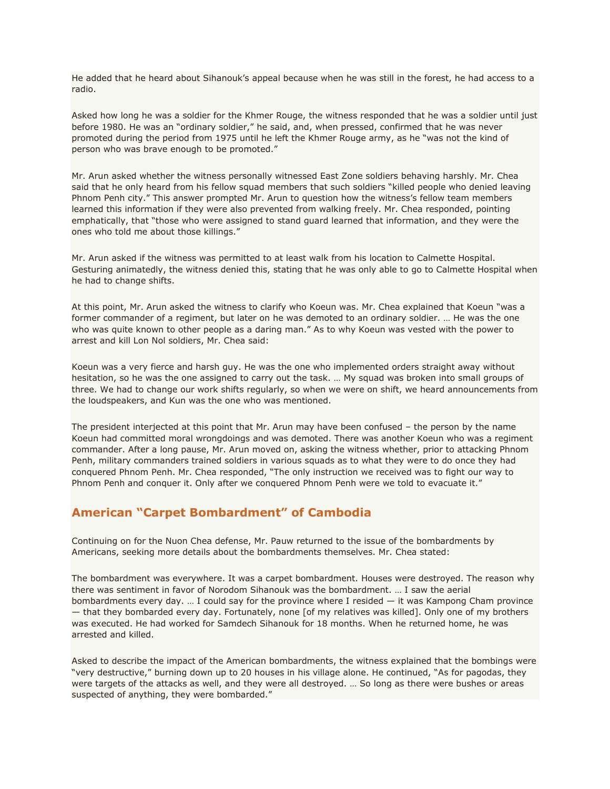He added that he heard about Sihanouk's appeal because when he was still in the forest, he had access to a radio.

Asked how long he was a soldier for the Khmer Rouge, the witness responded that he was a soldier until just before 1980. He was an "ordinary soldier," he said, and, when pressed, confirmed that he was never promoted during the period from 1975 until he left the Khmer Rouge army, as he "was not the kind of person who was brave enough to be promoted."

Mr. Arun asked whether the witness personally witnessed East Zone soldiers behaving harshly. Mr. Chea said that he only heard from his fellow squad members that such soldiers "killed people who denied leaving Phnom Penh city." This answer prompted Mr. Arun to question how the witness's fellow team members learned this information if they were also prevented from walking freely. Mr. Chea responded, pointing emphatically, that "those who were assigned to stand guard learned that information, and they were the ones who told me about those killings."

Mr. Arun asked if the witness was permitted to at least walk from his location to Calmette Hospital. Gesturing animatedly, the witness denied this, stating that he was only able to go to Calmette Hospital when he had to change shifts.

At this point, Mr. Arun asked the witness to clarify who Koeun was. Mr. Chea explained that Koeun "was a former commander of a regiment, but later on he was demoted to an ordinary soldier. … He was the one who was quite known to other people as a daring man." As to why Koeun was vested with the power to arrest and kill Lon Nol soldiers, Mr. Chea said:

Koeun was a very fierce and harsh guy. He was the one who implemented orders straight away without hesitation, so he was the one assigned to carry out the task. … My squad was broken into small groups of three. We had to change our work shifts regularly, so when we were on shift, we heard announcements from the loudspeakers, and Kun was the one who was mentioned.

The president interjected at this point that Mr. Arun may have been confused – the person by the name Koeun had committed moral wrongdoings and was demoted. There was another Koeun who was a regiment commander. After a long pause, Mr. Arun moved on, asking the witness whether, prior to attacking Phnom Penh, military commanders trained soldiers in various squads as to what they were to do once they had conquered Phnom Penh. Mr. Chea responded, "The only instruction we received was to fight our way to Phnom Penh and conquer it. Only after we conquered Phnom Penh were we told to evacuate it."

### **American "Carpet Bombardment" of Cambodia**

Continuing on for the Nuon Chea defense, Mr. Pauw returned to the issue of the bombardments by Americans, seeking more details about the bombardments themselves. Mr. Chea stated:

The bombardment was everywhere. It was a carpet bombardment. Houses were destroyed. The reason why there was sentiment in favor of Norodom Sihanouk was the bombardment. … I saw the aerial bombardments every day. … I could say for the province where I resided — it was Kampong Cham province — that they bombarded every day. Fortunately, none [of my relatives was killed]. Only one of my brothers was executed. He had worked for Samdech Sihanouk for 18 months. When he returned home, he was arrested and killed.

Asked to describe the impact of the American bombardments, the witness explained that the bombings were "very destructive," burning down up to 20 houses in his village alone. He continued, "As for pagodas, they were targets of the attacks as well, and they were all destroyed. … So long as there were bushes or areas suspected of anything, they were bombarded."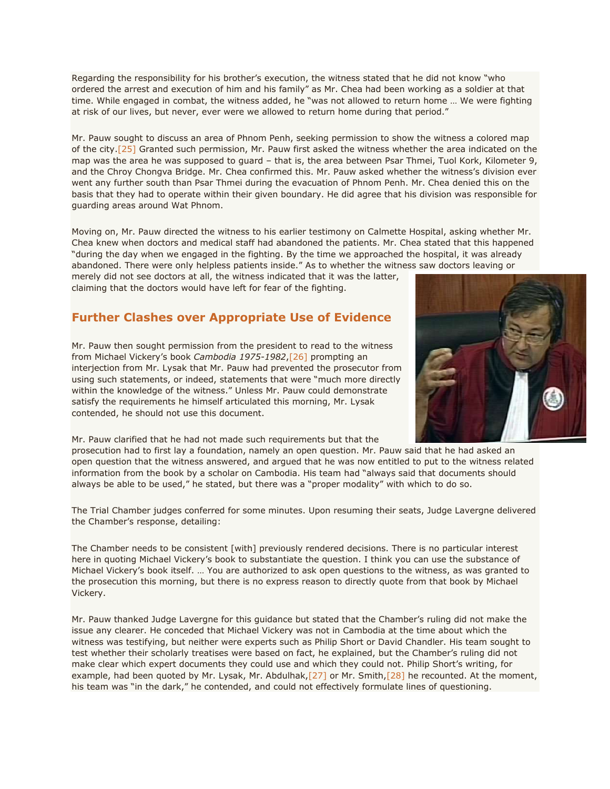Regarding the responsibility for his brother's execution, the witness stated that he did not know "who ordered the arrest and execution of him and his family" as Mr. Chea had been working as a soldier at that time. While engaged in combat, the witness added, he "was not allowed to return home … We were fighting at risk of our lives, but never, ever were we allowed to return home during that period."

Mr. Pauw sought to discuss an area of Phnom Penh, seeking permission to show the witness a colored map of the city[.\[25\]](http://www.cambodiatribunal.org/blog/2012/11/%E2%80%9Cabsolute%E2%80%9D-suffering-former-khmer-rouge-solder-provides-further-details-evacuation#_ftn25) Granted such permission, Mr. Pauw first asked the witness whether the area indicated on the map was the area he was supposed to guard – that is, the area between Psar Thmei, Tuol Kork, Kilometer 9, and the Chroy Chongva Bridge. Mr. Chea confirmed this. Mr. Pauw asked whether the witness's division ever went any further south than Psar Thmei during the evacuation of Phnom Penh. Mr. Chea denied this on the basis that they had to operate within their given boundary. He did agree that his division was responsible for guarding areas around Wat Phnom.

Moving on, Mr. Pauw directed the witness to his earlier testimony on Calmette Hospital, asking whether Mr. Chea knew when doctors and medical staff had abandoned the patients. Mr. Chea stated that this happened "during the day when we engaged in the fighting. By the time we approached the hospital, it was already abandoned. There were only helpless patients inside." As to whether the witness saw doctors leaving or

merely did not see doctors at all, the witness indicated that it was the latter, claiming that the doctors would have left for fear of the fighting.

#### **Further Clashes over Appropriate Use of Evidence**

Mr. Pauw then sought permission from the president to read to the witness from Michael Vickery's book *Cambodia 1975-1982*[,\[26\]](http://www.cambodiatribunal.org/blog/2012/11/%E2%80%9Cabsolute%E2%80%9D-suffering-former-khmer-rouge-solder-provides-further-details-evacuation#_ftn26) prompting an interjection from Mr. Lysak that Mr. Pauw had prevented the prosecutor from using such statements, or indeed, statements that were "much more directly within the knowledge of the witness." Unless Mr. Pauw could demonstrate satisfy the requirements he himself articulated this morning, Mr. Lysak contended, he should not use this document.

Mr. Pauw clarified that he had not made such requirements but that the

prosecution had to first lay a foundation, namely an open question. Mr. Pauw said that he had asked an open question that the witness answered, and argued that he was now entitled to put to the witness related information from the book by a scholar on Cambodia. His team had "always said that documents should always be able to be used," he stated, but there was a "proper modality" with which to do so.

The Trial Chamber judges conferred for some minutes. Upon resuming their seats, Judge Lavergne delivered the Chamber's response, detailing:

The Chamber needs to be consistent [with] previously rendered decisions. There is no particular interest here in quoting Michael Vickery's book to substantiate the question. I think you can use the substance of Michael Vickery's book itself. … You are authorized to ask open questions to the witness, as was granted to the prosecution this morning, but there is no express reason to directly quote from that book by Michael Vickery.

Mr. Pauw thanked Judge Lavergne for this guidance but stated that the Chamber's ruling did not make the issue any clearer. He conceded that Michael Vickery was not in Cambodia at the time about which the witness was testifying, but neither were experts such as Philip Short or David Chandler. His team sought to test whether their scholarly treatises were based on fact, he explained, but the Chamber's ruling did not make clear which expert documents they could use and which they could not. Philip Short's writing, for example, had been quoted by Mr. Lysak, Mr. Abdulhak, $[27]$  or Mr. Smith, $[28]$  he recounted. At the moment, his team was "in the dark," he contended, and could not effectively formulate lines of questioning.

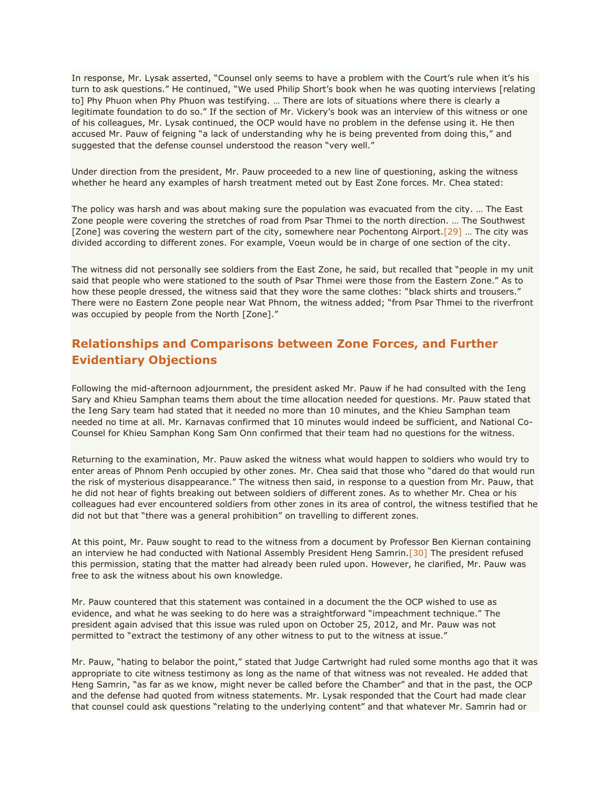In response, Mr. Lysak asserted, "Counsel only seems to have a problem with the Court's rule when it's his turn to ask questions." He continued, "We used Philip Short's book when he was quoting interviews [relating to] Phy Phuon when Phy Phuon was testifying. … There are lots of situations where there is clearly a legitimate foundation to do so." If the section of Mr. Vickery's book was an interview of this witness or one of his colleagues, Mr. Lysak continued, the OCP would have no problem in the defense using it. He then accused Mr. Pauw of feigning "a lack of understanding why he is being prevented from doing this," and suggested that the defense counsel understood the reason "very well."

Under direction from the president, Mr. Pauw proceeded to a new line of questioning, asking the witness whether he heard any examples of harsh treatment meted out by East Zone forces. Mr. Chea stated:

The policy was harsh and was about making sure the population was evacuated from the city. … The East Zone people were covering the stretches of road from Psar Thmei to the north direction. … The Southwest [Zone] was covering the western part of the city, somewhere near Pochentong Airport.<sup>[29]</sup> ... The city was divided according to different zones. For example, Voeun would be in charge of one section of the city.

The witness did not personally see soldiers from the East Zone, he said, but recalled that "people in my unit said that people who were stationed to the south of Psar Thmei were those from the Eastern Zone." As to how these people dressed, the witness said that they wore the same clothes: "black shirts and trousers." There were no Eastern Zone people near Wat Phnom, the witness added; "from Psar Thmei to the riverfront was occupied by people from the North [Zone]."

### **Relationships and Comparisons between Zone Forces, and Further Evidentiary Objections**

Following the mid-afternoon adjournment, the president asked Mr. Pauw if he had consulted with the Ieng Sary and Khieu Samphan teams them about the time allocation needed for questions. Mr. Pauw stated that the Ieng Sary team had stated that it needed no more than 10 minutes, and the Khieu Samphan team needed no time at all. Mr. Karnavas confirmed that 10 minutes would indeed be sufficient, and National Co-Counsel for Khieu Samphan Kong Sam Onn confirmed that their team had no questions for the witness.

Returning to the examination, Mr. Pauw asked the witness what would happen to soldiers who would try to enter areas of Phnom Penh occupied by other zones. Mr. Chea said that those who "dared do that would run the risk of mysterious disappearance." The witness then said, in response to a question from Mr. Pauw, that he did not hear of fights breaking out between soldiers of different zones. As to whether Mr. Chea or his colleagues had ever encountered soldiers from other zones in its area of control, the witness testified that he did not but that "there was a general prohibition" on travelling to different zones.

At this point, Mr. Pauw sought to read to the witness from a document by Professor Ben Kiernan containing an interview he had conducted with National Assembly President Heng Samrin[.\[30\]](http://www.cambodiatribunal.org/blog/2012/11/%E2%80%9Cabsolute%E2%80%9D-suffering-former-khmer-rouge-solder-provides-further-details-evacuation#_ftn30) The president refused this permission, stating that the matter had already been ruled upon. However, he clarified, Mr. Pauw was free to ask the witness about his own knowledge.

Mr. Pauw countered that this statement was contained in a document the the OCP wished to use as evidence, and what he was seeking to do here was a straightforward "impeachment technique." The president again advised that this issue was ruled upon on October 25, 2012, and Mr. Pauw was not permitted to "extract the testimony of any other witness to put to the witness at issue."

Mr. Pauw, "hating to belabor the point," stated that Judge Cartwright had ruled some months ago that it was appropriate to cite witness testimony as long as the name of that witness was not revealed. He added that Heng Samrin, "as far as we know, might never be called before the Chamber" and that in the past, the OCP and the defense had quoted from witness statements. Mr. Lysak responded that the Court had made clear that counsel could ask questions "relating to the underlying content" and that whatever Mr. Samrin had or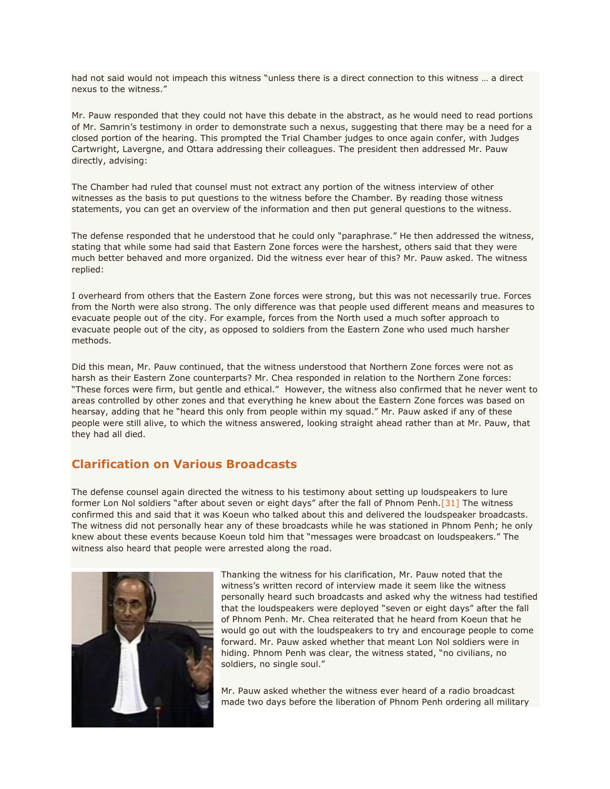had not said would not impeach this witness "unless there is a direct connection to this witness … a direct nexus to the witness."

Mr. Pauw responded that they could not have this debate in the abstract, as he would need to read portions of Mr. Samrin's testimony in order to demonstrate such a nexus, suggesting that there may be a need for a closed portion of the hearing. This prompted the Trial Chamber judges to once again confer, with Judges Cartwright, Lavergne, and Ottara addressing their colleagues. The president then addressed Mr. Pauw directly, advising:

The Chamber had ruled that counsel must not extract any portion of the witness interview of other witnesses as the basis to put questions to the witness before the Chamber. By reading those witness statements, you can get an overview of the information and then put general questions to the witness.

The defense responded that he understood that he could only "paraphrase." He then addressed the witness, stating that while some had said that Eastern Zone forces were the harshest, others said that they were much better behaved and more organized. Did the witness ever hear of this? Mr. Pauw asked. The witness replied:

I overheard from others that the Eastern Zone forces were strong, but this was not necessarily true. Forces from the North were also strong. The only difference was that people used different means and measures to evacuate people out of the city. For example, forces from the North used a much softer approach to evacuate people out of the city, as opposed to soldiers from the Eastern Zone who used much harsher methods.

Did this mean, Mr. Pauw continued, that the witness understood that Northern Zone forces were not as harsh as their Eastern Zone counterparts? Mr. Chea responded in relation to the Northern Zone forces: "These forces were firm, but gentle and ethical." However, the witness also confirmed that he never went to areas controlled by other zones and that everything he knew about the Eastern Zone forces was based on hearsay, adding that he "heard this only from people within my squad." Mr. Pauw asked if any of these people were still alive, to which the witness answered, looking straight ahead rather than at Mr. Pauw, that they had all died.

#### **Clarification on Various Broadcasts**

The defense counsel again directed the witness to his testimony about setting up loudspeakers to lure former Lon Nol soldiers "after about seven or eight days" after the fall of Phnom Penh.<sup>[\[31\]](http://www.cambodiatribunal.org/blog/2012/11/%E2%80%9Cabsolute%E2%80%9D-suffering-former-khmer-rouge-solder-provides-further-details-evacuation#_ftn31)</sup> The witness confirmed this and said that it was Koeun who talked about this and delivered the loudspeaker broadcasts. The witness did not personally hear any of these broadcasts while he was stationed in Phnom Penh; he only knew about these events because Koeun told him that "messages were broadcast on loudspeakers." The witness also heard that people were arrested along the road.



Thanking the witness for his clarification, Mr. Pauw noted that the witness's written record of interview made it seem like the witness personally heard such broadcasts and asked why the witness had testified that the loudspeakers were deployed "seven or eight days" after the fall of Phnom Penh. Mr. Chea reiterated that he heard from Koeun that he would go out with the loudspeakers to try and encourage people to come forward. Mr. Pauw asked whether that meant Lon Nol soldiers were in hiding. Phnom Penh was clear, the witness stated, "no civilians, no soldiers, no single soul."

Mr. Pauw asked whether the witness ever heard of a radio broadcast made two days before the liberation of Phnom Penh ordering all military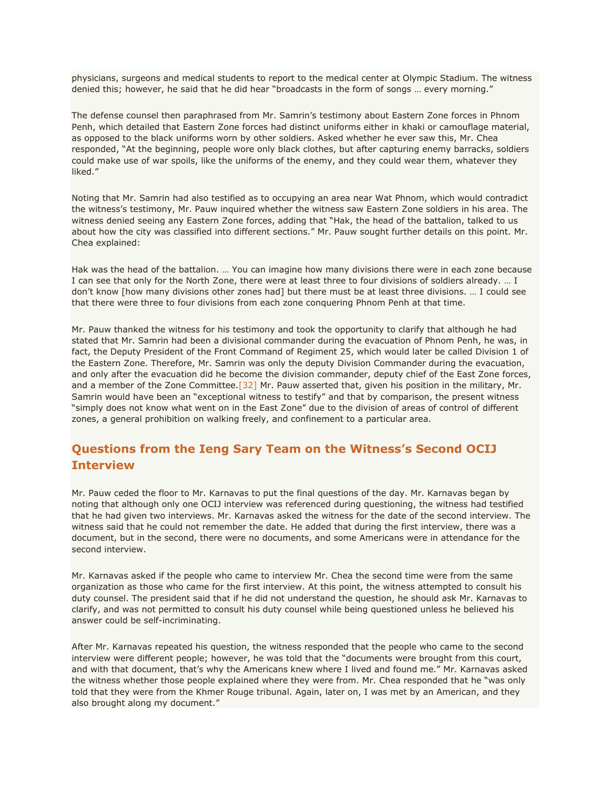physicians, surgeons and medical students to report to the medical center at Olympic Stadium. The witness denied this; however, he said that he did hear "broadcasts in the form of songs … every morning."

The defense counsel then paraphrased from Mr. Samrin's testimony about Eastern Zone forces in Phnom Penh, which detailed that Eastern Zone forces had distinct uniforms either in khaki or camouflage material, as opposed to the black uniforms worn by other soldiers. Asked whether he ever saw this, Mr. Chea responded, "At the beginning, people wore only black clothes, but after capturing enemy barracks, soldiers could make use of war spoils, like the uniforms of the enemy, and they could wear them, whatever they liked."

Noting that Mr. Samrin had also testified as to occupying an area near Wat Phnom, which would contradict the witness's testimony, Mr. Pauw inquired whether the witness saw Eastern Zone soldiers in his area. The witness denied seeing any Eastern Zone forces, adding that "Hak, the head of the battalion, talked to us about how the city was classified into different sections." Mr. Pauw sought further details on this point. Mr. Chea explained:

Hak was the head of the battalion. … You can imagine how many divisions there were in each zone because I can see that only for the North Zone, there were at least three to four divisions of soldiers already. … I don't know [how many divisions other zones had] but there must be at least three divisions. … I could see that there were three to four divisions from each zone conquering Phnom Penh at that time.

Mr. Pauw thanked the witness for his testimony and took the opportunity to clarify that although he had stated that Mr. Samrin had been a divisional commander during the evacuation of Phnom Penh, he was, in fact, the Deputy President of the Front Command of Regiment 25, which would later be called Division 1 of the Eastern Zone. Therefore, Mr. Samrin was only the deputy Division Commander during the evacuation, and only after the evacuation did he become the division commander, deputy chief of the East Zone forces, and a member of the Zone Committee. [32] Mr. Pauw asserted that, given his position in the military, Mr. Samrin would have been an "exceptional witness to testify" and that by comparison, the present witness "simply does not know what went on in the East Zone" due to the division of areas of control of different zones, a general prohibition on walking freely, and confinement to a particular area.

### **Questions from the Ieng Sary Team on the Witness's Second OCIJ Interview**

Mr. Pauw ceded the floor to Mr. Karnavas to put the final questions of the day. Mr. Karnavas began by noting that although only one OCIJ interview was referenced during questioning, the witness had testified that he had given two interviews. Mr. Karnavas asked the witness for the date of the second interview. The witness said that he could not remember the date. He added that during the first interview, there was a document, but in the second, there were no documents, and some Americans were in attendance for the second interview.

Mr. Karnavas asked if the people who came to interview Mr. Chea the second time were from the same organization as those who came for the first interview. At this point, the witness attempted to consult his duty counsel. The president said that if he did not understand the question, he should ask Mr. Karnavas to clarify, and was not permitted to consult his duty counsel while being questioned unless he believed his answer could be self-incriminating.

After Mr. Karnavas repeated his question, the witness responded that the people who came to the second interview were different people; however, he was told that the "documents were brought from this court, and with that document, that's why the Americans knew where I lived and found me." Mr. Karnavas asked the witness whether those people explained where they were from. Mr. Chea responded that he "was only told that they were from the Khmer Rouge tribunal. Again, later on, I was met by an American, and they also brought along my document."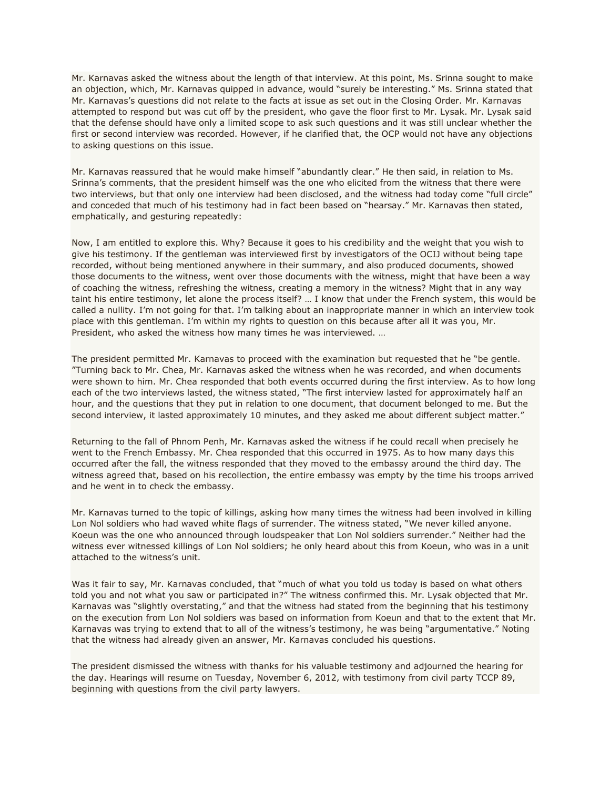Mr. Karnavas asked the witness about the length of that interview. At this point, Ms. Srinna sought to make an objection, which, Mr. Karnavas quipped in advance, would "surely be interesting." Ms. Srinna stated that Mr. Karnavas's questions did not relate to the facts at issue as set out in the Closing Order. Mr. Karnavas attempted to respond but was cut off by the president, who gave the floor first to Mr. Lysak. Mr. Lysak said that the defense should have only a limited scope to ask such questions and it was still unclear whether the first or second interview was recorded. However, if he clarified that, the OCP would not have any objections to asking questions on this issue.

Mr. Karnavas reassured that he would make himself "abundantly clear." He then said, in relation to Ms. Srinna's comments, that the president himself was the one who elicited from the witness that there were two interviews, but that only one interview had been disclosed, and the witness had today come "full circle" and conceded that much of his testimony had in fact been based on "hearsay." Mr. Karnavas then stated, emphatically, and gesturing repeatedly:

Now, I am entitled to explore this. Why? Because it goes to his credibility and the weight that you wish to give his testimony. If the gentleman was interviewed first by investigators of the OCIJ without being tape recorded, without being mentioned anywhere in their summary, and also produced documents, showed those documents to the witness, went over those documents with the witness, might that have been a way of coaching the witness, refreshing the witness, creating a memory in the witness? Might that in any way taint his entire testimony, let alone the process itself? … I know that under the French system, this would be called a nullity. I'm not going for that. I'm talking about an inappropriate manner in which an interview took place with this gentleman. I'm within my rights to question on this because after all it was you, Mr. President, who asked the witness how many times he was interviewed. …

The president permitted Mr. Karnavas to proceed with the examination but requested that he "be gentle. "Turning back to Mr. Chea, Mr. Karnavas asked the witness when he was recorded, and when documents were shown to him. Mr. Chea responded that both events occurred during the first interview. As to how long each of the two interviews lasted, the witness stated, "The first interview lasted for approximately half an hour, and the questions that they put in relation to one document, that document belonged to me. But the second interview, it lasted approximately 10 minutes, and they asked me about different subject matter."

Returning to the fall of Phnom Penh, Mr. Karnavas asked the witness if he could recall when precisely he went to the French Embassy. Mr. Chea responded that this occurred in 1975. As to how many days this occurred after the fall, the witness responded that they moved to the embassy around the third day. The witness agreed that, based on his recollection, the entire embassy was empty by the time his troops arrived and he went in to check the embassy.

Mr. Karnavas turned to the topic of killings, asking how many times the witness had been involved in killing Lon Nol soldiers who had waved white flags of surrender. The witness stated, "We never killed anyone. Koeun was the one who announced through loudspeaker that Lon Nol soldiers surrender." Neither had the witness ever witnessed killings of Lon Nol soldiers; he only heard about this from Koeun, who was in a unit attached to the witness's unit.

Was it fair to say, Mr. Karnavas concluded, that "much of what you told us today is based on what others told you and not what you saw or participated in?" The witness confirmed this. Mr. Lysak objected that Mr. Karnavas was "slightly overstating," and that the witness had stated from the beginning that his testimony on the execution from Lon Nol soldiers was based on information from Koeun and that to the extent that Mr. Karnavas was trying to extend that to all of the witness's testimony, he was being "argumentative." Noting that the witness had already given an answer, Mr. Karnavas concluded his questions.

The president dismissed the witness with thanks for his valuable testimony and adjourned the hearing for the day. Hearings will resume on Tuesday, November 6, 2012, with testimony from civil party TCCP 89, beginning with questions from the civil party lawyers.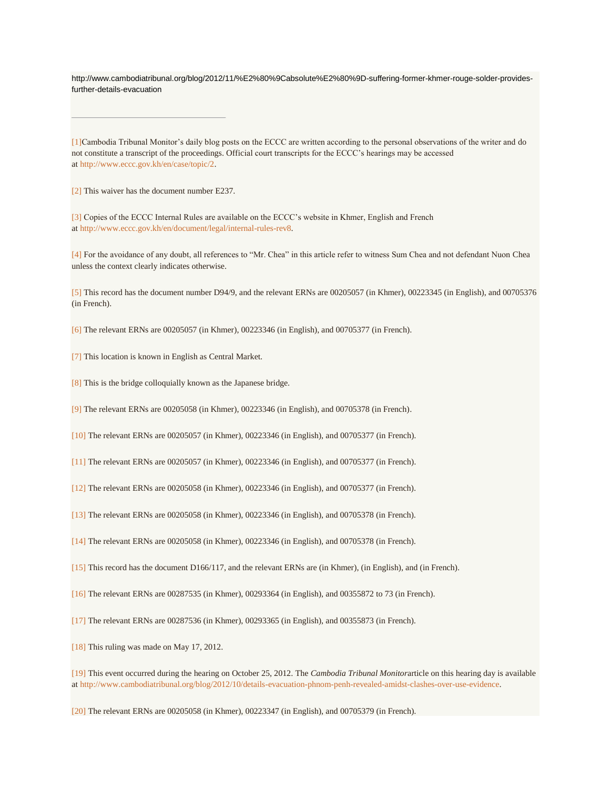http://www.cambodiatribunal.org/blog/2012/11/%E2%80%9Cabsolute%E2%80%9D-suffering-former-khmer-rouge-solder-providesfurther-details-evacuation

[\[1\]C](http://www.cambodiatribunal.org/blog/2012/11/%E2%80%9Cabsolute%E2%80%9D-suffering-former-khmer-rouge-solder-provides-further-details-evacuation#_ftnref1)ambodia Tribunal Monitor's daily blog posts on the ECCC are written according to the personal observations of the writer and do not constitute a transcript of the proceedings. Official court transcripts for the ECCC's hearings may be accessed at [http://www.eccc.gov.kh/en/case/topic/2.](http://www.eccc.gov.kh/en/case/topic/2)

[\[2\]](http://www.cambodiatribunal.org/blog/2012/11/%E2%80%9Cabsolute%E2%80%9D-suffering-former-khmer-rouge-solder-provides-further-details-evacuation#_ftnref2) This waiver has the document number E237.

[\[3\]](http://www.cambodiatribunal.org/blog/2012/11/%E2%80%9Cabsolute%E2%80%9D-suffering-former-khmer-rouge-solder-provides-further-details-evacuation#_ftnref3) Copies of the ECCC Internal Rules are available on the ECCC's website in Khmer, English and French at [http://www.eccc.gov.kh/en/document/legal/internal-rules-rev8.](http://www.eccc.gov.kh/en/document/legal/internal-rules-rev8)

[\[4\]](http://www.cambodiatribunal.org/blog/2012/11/%E2%80%9Cabsolute%E2%80%9D-suffering-former-khmer-rouge-solder-provides-further-details-evacuation#_ftnref4) For the avoidance of any doubt, all references to "Mr. Chea" in this article refer to witness Sum Chea and not defendant Nuon Chea unless the context clearly indicates otherwise.

[\[5\]](http://www.cambodiatribunal.org/blog/2012/11/%E2%80%9Cabsolute%E2%80%9D-suffering-former-khmer-rouge-solder-provides-further-details-evacuation#_ftnref5) This record has the document number D94/9, and the relevant ERNs are 00205057 (in Khmer), 00223345 (in English), and 00705376 (in French).

[\[6\]](http://www.cambodiatribunal.org/blog/2012/11/%E2%80%9Cabsolute%E2%80%9D-suffering-former-khmer-rouge-solder-provides-further-details-evacuation#_ftnref6) The relevant ERNs are 00205057 (in Khmer), 00223346 (in English), and 00705377 (in French).

[\[7\]](http://www.cambodiatribunal.org/blog/2012/11/%E2%80%9Cabsolute%E2%80%9D-suffering-former-khmer-rouge-solder-provides-further-details-evacuation#_ftnref7) This location is known in English as Central Market.

[\[8\]](http://www.cambodiatribunal.org/blog/2012/11/%E2%80%9Cabsolute%E2%80%9D-suffering-former-khmer-rouge-solder-provides-further-details-evacuation#_ftnref8) This is the bridge colloquially known as the Japanese bridge.

[\[9\]](http://www.cambodiatribunal.org/blog/2012/11/%E2%80%9Cabsolute%E2%80%9D-suffering-former-khmer-rouge-solder-provides-further-details-evacuation#_ftnref9) The relevant ERNs are 00205058 (in Khmer), 00223346 (in English), and 00705378 (in French).

[\[10\]](http://www.cambodiatribunal.org/blog/2012/11/%E2%80%9Cabsolute%E2%80%9D-suffering-former-khmer-rouge-solder-provides-further-details-evacuation#_ftnref10) The relevant ERNs are 00205057 (in Khmer), 00223346 (in English), and 00705377 (in French).

[\[11\]](http://www.cambodiatribunal.org/blog/2012/11/%E2%80%9Cabsolute%E2%80%9D-suffering-former-khmer-rouge-solder-provides-further-details-evacuation#_ftnref11) The relevant ERNs are 00205057 (in Khmer), 00223346 (in English), and 00705377 (in French).

[\[12\]](http://www.cambodiatribunal.org/blog/2012/11/%E2%80%9Cabsolute%E2%80%9D-suffering-former-khmer-rouge-solder-provides-further-details-evacuation#_ftnref12) The relevant ERNs are 00205058 (in Khmer), 00223346 (in English), and 00705377 (in French).

[\[13\]](http://www.cambodiatribunal.org/blog/2012/11/%E2%80%9Cabsolute%E2%80%9D-suffering-former-khmer-rouge-solder-provides-further-details-evacuation#_ftnref13) The relevant ERNs are 00205058 (in Khmer), 00223346 (in English), and 00705378 (in French).

[\[14\]](http://www.cambodiatribunal.org/blog/2012/11/%E2%80%9Cabsolute%E2%80%9D-suffering-former-khmer-rouge-solder-provides-further-details-evacuation#_ftnref14) The relevant ERNs are 00205058 (in Khmer), 00223346 (in English), and 00705378 (in French).

[\[15\]](http://www.cambodiatribunal.org/blog/2012/11/%E2%80%9Cabsolute%E2%80%9D-suffering-former-khmer-rouge-solder-provides-further-details-evacuation#_ftnref15) This record has the document D166/117, and the relevant ERNs are (in Khmer), (in English), and (in French).

[\[16\]](http://www.cambodiatribunal.org/blog/2012/11/%E2%80%9Cabsolute%E2%80%9D-suffering-former-khmer-rouge-solder-provides-further-details-evacuation#_ftnref16) The relevant ERNs are 00287535 (in Khmer), 00293364 (in English), and 00355872 to 73 (in French).

[\[17\]](http://www.cambodiatribunal.org/blog/2012/11/%E2%80%9Cabsolute%E2%80%9D-suffering-former-khmer-rouge-solder-provides-further-details-evacuation#_ftnref17) The relevant ERNs are 00287536 (in Khmer), 00293365 (in English), and 00355873 (in French).

[\[18\]](http://www.cambodiatribunal.org/blog/2012/11/%E2%80%9Cabsolute%E2%80%9D-suffering-former-khmer-rouge-solder-provides-further-details-evacuation#_ftnref18) This ruling was made on May 17, 2012.

[\[19\]](http://www.cambodiatribunal.org/blog/2012/11/%E2%80%9Cabsolute%E2%80%9D-suffering-former-khmer-rouge-solder-provides-further-details-evacuation#_ftnref19) This event occurred during the hearing on October 25, 2012. The *Cambodia Tribunal Monitor*article on this hearing day is available at [http://www.cambodiatribunal.org/blog/2012/10/details-evacuation-phnom-penh-revealed-amidst-clashes-over-use-evidence.](http://www.cambodiatribunal.org/blog/2012/10/details-evacuation-phnom-penh-revealed-amidst-clashes-over-use-evidence)

[\[20\]](http://www.cambodiatribunal.org/blog/2012/11/%E2%80%9Cabsolute%E2%80%9D-suffering-former-khmer-rouge-solder-provides-further-details-evacuation#_ftnref20) The relevant ERNs are 00205058 (in Khmer), 00223347 (in English), and 00705379 (in French).